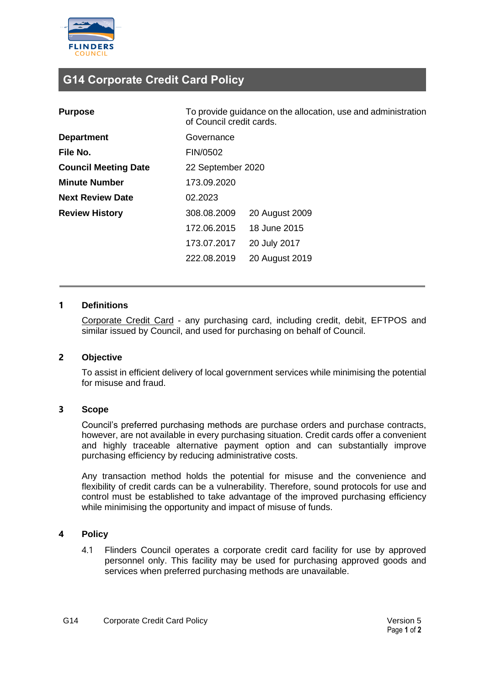

# **G14 Corporate Credit Card Policy**

| <b>Purpose</b>              | To provide guidance on the allocation, use and administration<br>of Council credit cards. |                |
|-----------------------------|-------------------------------------------------------------------------------------------|----------------|
| <b>Department</b>           | Governance                                                                                |                |
| File No.                    | FIN/0502                                                                                  |                |
| <b>Council Meeting Date</b> | 22 September 2020                                                                         |                |
| <b>Minute Number</b>        | 173.09.2020                                                                               |                |
| <b>Next Review Date</b>     | 02.2023                                                                                   |                |
| <b>Review History</b>       | 308.08.2009                                                                               | 20 August 2009 |
|                             | 172.06.2015                                                                               | 18 June 2015   |
|                             | 173.07.2017                                                                               | 20 July 2017   |
|                             | 222.08.2019                                                                               | 20 August 2019 |

#### **1 Definitions**

Corporate Credit Card - any purchasing card, including credit, debit, EFTPOS and similar issued by Council, and used for purchasing on behalf of Council.

#### **2 Objective**

To assist in efficient delivery of local government services while minimising the potential for misuse and fraud.

#### **3 Scope**

Council's preferred purchasing methods are purchase orders and purchase contracts, however, are not available in every purchasing situation. Credit cards offer a convenient and highly traceable alternative payment option and can substantially improve purchasing efficiency by reducing administrative costs.

Any transaction method holds the potential for misuse and the convenience and flexibility of credit cards can be a vulnerability. Therefore, sound protocols for use and control must be established to take advantage of the improved purchasing efficiency while minimising the opportunity and impact of misuse of funds.

## **4 Policy**

4.1 Flinders Council operates a corporate credit card facility for use by approved personnel only. This facility may be used for purchasing approved goods and services when preferred purchasing methods are unavailable.